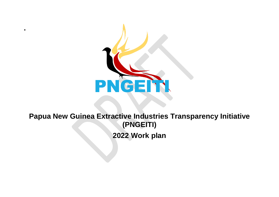

**.**

# **Papua New Guinea Extractive Industries Transparency Initiative (PNGEITI) 2022 Work plan**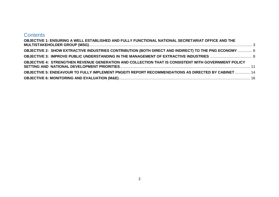# **Contents**

| OBJECTIVE 1: ENSURING A WELL ESTABLISHED AND FULLY FUNCTIONAL NATIONAL SECRETARIAT OFFICE AND THE     |  |
|-------------------------------------------------------------------------------------------------------|--|
| OBJECTIVE 2: SHOW EXTRACTIVE INDUSTRIES CONTRIBUTION (BOTH DIRECT AND INDIRECT) TO THE PNG ECONOMY  6 |  |
|                                                                                                       |  |
| OBJECTIVE 4: STRENGTHEN REVENUE GENERATION AND COLLECTION THAT IS CONSISTENT WITH GOVERNMENT POLICY   |  |
| OBJECTIVE 5: ENDEAVOUR TO FULLY IMPLEMENT PNGEITI REPORT RECOMMENDATIONS AS DIRECTED BY CABINET  14   |  |
|                                                                                                       |  |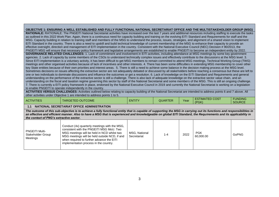<span id="page-2-0"></span>**OBJECTIVE 1: ENSURING A WELL ESTABLISHED AND FULLY FUNCTIONAL NATIONAL SECRETARIAT OFFICE AND THE MULTISTAKEHOLDER GROUP (MSG) RATIONALE:** RATIONALE: The PNGEITI National Secretariat activities have increased over the last 7 years and additional resources including staffing to execute the tasks as outlined in this 2022 Work Plan. Again, there is a continuous need for capacity building and training on the evolving EITI Standard and Requirements for staff and the MSG. Capacity building in relation to training staff and members of the MSG to understand the process, issues, strategies, and alignment of a shared vision to implement EITI Standard in the country. There is also a need to upskill and build technical knowledge of current membership of the MSG to enhance their capacity to provide an effective oversight, direction and management of EITI implementation in the country. Consistent with the National Executive Council (NEC) Decision # 90/2013, the

PNGEITI MSG will ensure that necessary policy framework and legislative arrangements are established to enable PNGEITI to become an independent entity by 2022.

**GOVERNANCE RELATED CHALLENGES:** 1. Lack of commitment and involvement in EITI activities, including attendance at MSG meetings by some key government agencies. 2. Lack of capacity by some members of the CSOs to understand technically complex issues and effectively contribute to the discussions at the MSG level. 3. Since EITI implementation is a voluntary activity, it has been difficult to get MSG members to remain committed to attend MSG meetings, Technical Working Group (TWG) meetings and other organised activities because of lack of incentives and other interests. 4. There has been some difficulties in extending MSG membership to cover other key State entities because of their own priorities and interest areas. 5. There is still a need to achieve some balance in the decision making process at the MSG level. Sometimes decisions on issues affecting the extractive sector are not adequately debated or discussed by all stakeholders before reaching a consensus but these are left to one or two individuals to dominate discussions and influence the outcomes or get a resolution. 6. Lack of knowledge on the EITI Standard and Requirements and general understanding on the performance of the extractive sector is still a challenge. There is also lack of adequate knowledge on the extractive sector value chain, and an understanding on the fiscal and taxation regime governing this sector by staff of the National Secretariat and some members of the MSG. This is still an ongoing challenge. 7. There is currently a EITI policy framework in place, endorsed by the National Executive Council in 2019 and currently the National Secretariat is working on a legislation to enable PNGEITI to operate independently in the country.

**ACTIVITIES VERSUS CHALLENGES:** Activities outlined below relating to capacity building of the National Secretariat are intended to address points 6 and 7 above. All other activities under Objective 1 are intended to address points 1 to 5.

| <b>ACTIVITIES</b> | <b>TARGETED OUTCOME</b> | <b>ENTITY</b> | <b>QUARTER</b> | Year | <b>ESTIMATED COST</b> | <b>FUNDING</b> |
|-------------------|-------------------------|---------------|----------------|------|-----------------------|----------------|
|                   |                         |               |                |      | (PGK)                 | <b>SOURCE</b>  |

## **1.1 NATIONAL SECRETARIAT OFFICE ADMINISTRATION**

*The outcome of this sub-objective is to achieve a fully functional entity that is capable of supporting the MSG in carrying out its functions and responsibilities in*  an effective and efficient manner. Also to have a MSG that is experienced and knowledgeable on global EITI Standard, the Requirements and its applicability in *the context of PNG's extractive sector.*

| Conduct (4x) quarterly meetings with the MSG,<br>consistent with the PNGEITI MSG MoU. Two<br><b>PNGEITI Multi-</b><br>MSG meetings will be held in NCD whilst two<br>Stakeholder Group<br>MSG meetings will be held outside NCD, if and<br>Meetings<br>when required to further advance the EITI<br>implementation process in the country. | MSG, National<br>Secretariat | 1-4 | 2022 | <b>PGK</b><br>60.000.00 | <b>GoPNG</b> |
|--------------------------------------------------------------------------------------------------------------------------------------------------------------------------------------------------------------------------------------------------------------------------------------------------------------------------------------------|------------------------------|-----|------|-------------------------|--------------|
|--------------------------------------------------------------------------------------------------------------------------------------------------------------------------------------------------------------------------------------------------------------------------------------------------------------------------------------------|------------------------------|-----|------|-------------------------|--------------|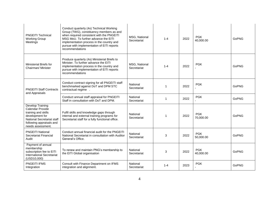| <b>PNGEITI Technical</b><br><b>Working Group</b><br>Meetings                                                                                                  | Conduct quarterly (4x) Technical Working<br>Group (TWG), constituency members as and<br>when required consistent with the PNGEITI<br>MSG MoU. To further advance the EITI<br>implementation process in the country and<br>pursue with implementation of EITI reports<br>recommendations | MSG, National<br>Secretariat | $1 - 4$ | 2022 | <b>PGK</b><br>40,000.00 | <b>GoPNG</b> |
|---------------------------------------------------------------------------------------------------------------------------------------------------------------|-----------------------------------------------------------------------------------------------------------------------------------------------------------------------------------------------------------------------------------------------------------------------------------------|------------------------------|---------|------|-------------------------|--------------|
| <b>Ministerial Briefs for</b><br>Chairman/ Minister                                                                                                           | Produce quarterly (4x) Ministerial Briefs to<br>Minister. To further advance the EITI<br>implementation process in the country and<br>pursue with implementation of EITI reports<br>recommendations                                                                                     | MSG, National<br>Secretariat | $1 - 4$ | 2022 | <b>PGK</b>              | <b>GoPNG</b> |
| <b>PNGEITI Staff Contracts</b><br>and Appraisals                                                                                                              | Conduct contract signing for all PNGEITI staff<br>benchmarked against DoT and DPM STC<br>contractual regime.                                                                                                                                                                            | National<br>Secretariat      | 1       | 2022 | <b>PGK</b>              | GoPNG        |
|                                                                                                                                                               | Conduct annual staff appraisal for PNGEITI<br>Staff in consultation with DoT and DPM.                                                                                                                                                                                                   | National<br>Secretariat      | 1       | 2022 | <b>PGK</b>              | <b>GoPNG</b> |
| Develop Training<br>Calendar Provide<br>training and skills<br>development for<br>National Secretariat staff<br>following appraisals and<br>needs assessment. | Fulfil skills and knowledge gaps through<br>internal and external training programs for<br>Secretariat staff for a fully functional office.                                                                                                                                             | National<br>Secretariat      |         | 2022 | <b>PGK</b><br>70,000.00 | GoPNG        |
| <b>PNGEITI National</b><br>Secretariat Financial<br>Audit                                                                                                     | Conduct annual financial audit for the PNGEITI<br>National Secretariat in consultation with Auditor<br>General's Office.                                                                                                                                                                | National<br>Secretariat      | 3       | 2022 | <b>PGK</b><br>50,000.00 | GoPNG        |
| Payment of annual<br>membership<br>subscription fee to EITI<br><b>International Secretariat</b><br>(USD10,000)                                                | To renew and maintain PNG's membership to<br>the EITI Global organisation                                                                                                                                                                                                               | National<br>Secretariat      | 3       | 2022 | <b>PGK</b><br>40.000.00 | GoPNG        |
| <b>PNGEITI IFMS</b><br>Integration                                                                                                                            | Consult with Finance Department on IFMS<br>integration and alignment.                                                                                                                                                                                                                   | National<br>Secretariat      | $1 - 4$ | 2023 | <b>PGK</b>              | <b>GoPNG</b> |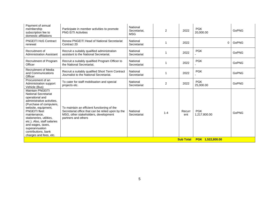| Payment of annual<br>membership<br>subscription fee to<br>domestic affiliations                                                                                                                                                                                                                                                                      | Participate in member activities to promote<br><b>PNG EITI Activities</b>                                                                                       | National<br>Secretariat,<br><b>MSG</b> | $\overline{2}$ | 2022             | <b>PGK</b><br>20,000.00    | GoPNG        |
|------------------------------------------------------------------------------------------------------------------------------------------------------------------------------------------------------------------------------------------------------------------------------------------------------------------------------------------------------|-----------------------------------------------------------------------------------------------------------------------------------------------------------------|----------------------------------------|----------------|------------------|----------------------------|--------------|
| <b>PNGEITI HoS Contract</b><br>renewal                                                                                                                                                                                                                                                                                                               | <b>Renew PNGEITI Head of National Secretariat</b><br>Contract 20                                                                                                | National<br>Secretariat                |                | 2022             | 0                          | GoPNG        |
| Recruitment of<br><b>Administration Assistant</b>                                                                                                                                                                                                                                                                                                    | Recruit a suitably qualified administration<br>assistant to the National Secretariat.                                                                           | National<br>Secretariat                |                | 2022             | <b>PGK</b>                 | GoPNG        |
| Recruitment of Program<br>Officer                                                                                                                                                                                                                                                                                                                    | Recruit a suitably qualified Program Officer to<br>the National Secretariat.                                                                                    | National<br>Secretariat                |                | 2022             | <b>PGK</b>                 | <b>GoPNG</b> |
| <b>Recruitment of Media</b><br>and Communications<br>Officer                                                                                                                                                                                                                                                                                         | Recruit a suitably qualified Short Term Contract<br>Journalist to the National Secretariat.                                                                     | National<br>Secretariat                |                | 2022             | <b>PGK</b>                 | <b>GoPNG</b> |
| Procurement of an<br>Administration support<br>Vehicle (Bus)                                                                                                                                                                                                                                                                                         | To cater for staff mobilisation and special<br>projects etc.                                                                                                    | National<br>Secretariat                | 2              | 2022             | <b>PGK</b><br>25,000.00    | GoPNG        |
| <b>Maintain PNGEITI</b><br><b>National Secretariat</b><br>operational and<br>administrative activities.<br>(Purchase of computers,<br>website, equipment,<br><b>PNGEITI fleet</b><br>maintenance,<br>stationeries, utilities,<br>etc.). Also, staff salaries<br>and wages, taxes,<br>superannuation<br>contributions, bank<br>charges and fees, etc. | To maintain an efficient functioning of the<br>Secretariat office that can be relied upon by the<br>MSG, other stakeholders, development<br>partners and others | National<br>Secretariat                | $1 - 4$        | Recurr<br>ent    | <b>PGK</b><br>1,217,800.00 | GoPNG        |
|                                                                                                                                                                                                                                                                                                                                                      |                                                                                                                                                                 |                                        |                | <b>Sub Total</b> | PGK 1,522,800.00           |              |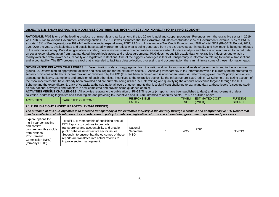# <span id="page-5-0"></span>**OBJECTIVE 2: SHOW EXTRACTIVE INDUSTRIES CONTRIBUTION (BOTH DIRECT AND INDIRECT) TO THE PNG ECONOMY**

**RATIONALE:** PNG is one of the leading producers of minerals and ranks among the top 20 world gold and copper producers. Revenues from the extractive sector in 2019 was PGK 6.14b to various Government collecting entities. In 2019, it was estimated that the extractive industries contributed 28% of Government Revenue, 80% of PNG's exports, 18% of Employment, over PGK444 million in social expenditures, PGK129.6m in Infrastructure Tax Credit Projects, and 28% of total GDP (PNGEITI Report, 2019, p.2). Over the years, available data and details have steadily grown to reflect what is being generated from the extractive sector in totality and how much is being contributed to the national economy. Data disaggregation is limited, there is non-existence of a central data storage system for data analysis and there is no mechanism to record data on social expenditures apart from that mandated through legislations and project agreements. PNG does not publish usable data on extractive industries due to lack of readily available data, awareness, capacity and legislative restrictions. One of the biggest challenges is lack of transparency in information relating to financial transactions and accountability. The EITI process is a tool that is intended to facilitate data collection, processing and documentation that can minimise some of these information gaps.

**GOVERNANCE RELATED CHALLENGES:** 1. Determination of data disaggregation from the national down to sub-national levels of governments and to the landowner groups. 2. Determining an appropriate taxation and fiscal regime for the extractive sector. 3. Achieving transparency in tax information which is currently being protected by secrecy provisions of the PNG Income Tax Act administered by the IRC (this has been achieved and is now not an issue). 4. Determining government's policy decision on granting tax holidays, exemptions and provision of such other fiscal incentives to the extractive sector like the Infrastructure Tax Credit (ITC) Scheme. Also taking account of the fiscal incentives that have already been provided and are currently being utilised. 5. Determining and quantifying the amount of revenue forgone through the ITC Scheme and the expenditure. 6. Lack of capacity at the sub-national levels of governments that is a significant challenge to extracting data at these levels (a scoping study on sub-national payments and transfers is now completed and provide some guidance on this).

**ACTIVITIES VERSUS CHALLENGES:** All activities relating to the publication of PNGEITI reports (4 reports have been published to date) and improvement of data collection, addressing legislative and fiscal regime and providing tax incentives and ITC are intended to address points 1 to 6 as outlined above.

| <b>ACTIVITIES</b> | <b>OUTCOME</b><br>TARGETED ( | PONSIBLE<br><b>RES.</b><br><b>ENTITY</b> | <b>TIME</b><br><b>NE</b> | <b>COST</b><br>'IMAIED'<br>ES.<br>(PNGK) | <b>FUNDING</b><br><b>SOURCE</b> |
|-------------------|------------------------------|------------------------------------------|--------------------------|------------------------------------------|---------------------------------|
|                   |                              |                                          |                          |                                          |                                 |

**2.1 PUBLISH EIGHT PNGEITI REPORTS (FY2020 REPORT)**

*The outcome of this sub-objective is to increase transparency in the extractive industry in the country through a credible and comprehensive EITI Report that can be available to all stakeholders for consideration in policy formulation, legislative reforms and streamlining government systems and processes.*

| Explore options for<br>To fulfil EITI membership of publishing annual<br>multi-year contracting<br>EITI Reports to continue to promote<br>and confirm<br>transparency and accountability and enable<br>procurement thresholds<br>public debates on extractive sector issues.<br>from National<br>Secondly, to ensure that the outcomes of these<br>Procurement<br>reports are translated into actual reforms to<br>Commission (NPC)<br>improve sector management.<br>(formerly CSTB) | National<br>Secretariat.<br>MSG |  | 2022 | <b>PGK</b> | GoPNG |
|--------------------------------------------------------------------------------------------------------------------------------------------------------------------------------------------------------------------------------------------------------------------------------------------------------------------------------------------------------------------------------------------------------------------------------------------------------------------------------------|---------------------------------|--|------|------------|-------|
|--------------------------------------------------------------------------------------------------------------------------------------------------------------------------------------------------------------------------------------------------------------------------------------------------------------------------------------------------------------------------------------------------------------------------------------------------------------------------------------|---------------------------------|--|------|------------|-------|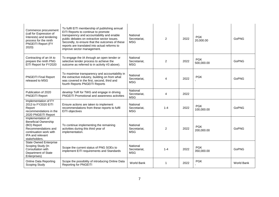| Commence procurement<br>(call for Expression of<br>Interests) and tendering<br>process for the ninth<br>PNGEITI Report (FY<br>2020)                          | To fulfil EITI membership of publishing annual<br>EITI Reports to continue to promote<br>transparency and accountability and enable<br>public debates on extractive sector issues.<br>Secondly, to ensure that the outcomes of these<br>reports are translated into actual reforms to<br>improve sector management. | National<br>Secretariat,<br><b>MSG</b> | $\overline{2}$ | 2022 | <b>PGK</b><br>20,000.00  | GoPNG             |
|--------------------------------------------------------------------------------------------------------------------------------------------------------------|---------------------------------------------------------------------------------------------------------------------------------------------------------------------------------------------------------------------------------------------------------------------------------------------------------------------|----------------------------------------|----------------|------|--------------------------|-------------------|
| Contracting of an IA to<br>prepare the ninth PNG<br>EITI Report for FY2020                                                                                   | To engage the IA through an open tender or<br>selective tender process to achieve the<br>outcome as referred to in activity #3 above).                                                                                                                                                                              | National<br>Secretariat.<br><b>MSG</b> | $\overline{2}$ | 2022 | <b>PGK</b><br>500,000.00 | <b>GoPNG</b>      |
| <b>PNGEITI Final Report</b><br>released to MSG                                                                                                               | To maximise transparency and accountability in<br>the extractive industry, building on from what<br>was covered in the first, second, third and<br>fourth Reports PNGEITI Reports                                                                                                                                   | National<br>Secretariat,<br><b>MSG</b> | 4              | 2022 | <b>PGK</b>               | <b>GoPNG</b>      |
| Publication of 2020<br><b>PNGEITI Report</b>                                                                                                                 | develop ToR for TWG and engage in driving<br><b>PNGEITI Promotional and awareness activities</b>                                                                                                                                                                                                                    | National<br>Secretariat.<br><b>MSG</b> | 4              | 2022 |                          |                   |
| Implementation of FY<br>2013 to FY2020 EITI<br>Report<br>recommendations in the<br>2020 PNGEITI Report                                                       | Ensure actions are taken to implement<br>recommendations from these reports to fulfil<br><b>EITI</b> objectives                                                                                                                                                                                                     | National<br>Secretariat,<br><b>MSG</b> | $1 - 4$        | 2022 | <b>PGK</b><br>100,000.00 | GoPNG             |
| Implementation of<br><b>Beneficial Ownership</b><br>(BO) Report<br>Recommendations and<br>continuation work with<br><b>IPA and relevant</b><br>stakeholders. | To continue implementing the remaining<br>activities during this third year of<br>implementation.                                                                                                                                                                                                                   | National<br>Secretariat,<br><b>MSG</b> | 2              | 2022 | <b>PGK</b><br>200,000.00 | <b>GoPNG</b>      |
| <b>State Owned Enterprise</b><br>Scoping Study (In<br>Consultation with<br>Department of State<br>Enterprises)                                               | Scope the current status of PNG SOEs to<br>implement EITI requirements and Standards                                                                                                                                                                                                                                | National<br>Secretariat,<br><b>MSG</b> | $1 - 4$        | 2022 | <b>PGK</b><br>350,000.00 | GoPNG             |
| Online Data Reporting<br>Scoping Study                                                                                                                       | Scope the possibility of introducing Online Data<br><b>Reporting for PNGEITI</b>                                                                                                                                                                                                                                    | <b>World Bank</b>                      | 1              | 2022 | <b>PGK</b>               | <b>World Bank</b> |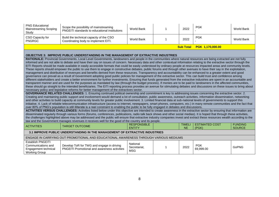<span id="page-7-0"></span>

| <b>PNG Educational</b><br><b>Mainstreaming Scoping</b><br>Study                                                                                                                                                                                                                                                                                                                                                                                                                                                                                                                                                                                                                                                                                                                                                                                                                                                                                                                                                                                                                                                                                                                                                                                                                                                                                                                                                                                                                                                                                                                                                                                                                                                                                                                                                                                                                                                                                                                                                        | Scope the possibility of mainstreaming<br>PNGEITI standards to educational institutions                                                                                                                                                                                                                                                                                                                                                                                                                                                                                                                                                    | <b>World Bank</b>                      |  | 2022                | <b>PGK</b>                     | <b>World Bank</b>               |  |
|------------------------------------------------------------------------------------------------------------------------------------------------------------------------------------------------------------------------------------------------------------------------------------------------------------------------------------------------------------------------------------------------------------------------------------------------------------------------------------------------------------------------------------------------------------------------------------------------------------------------------------------------------------------------------------------------------------------------------------------------------------------------------------------------------------------------------------------------------------------------------------------------------------------------------------------------------------------------------------------------------------------------------------------------------------------------------------------------------------------------------------------------------------------------------------------------------------------------------------------------------------------------------------------------------------------------------------------------------------------------------------------------------------------------------------------------------------------------------------------------------------------------------------------------------------------------------------------------------------------------------------------------------------------------------------------------------------------------------------------------------------------------------------------------------------------------------------------------------------------------------------------------------------------------------------------------------------------------------------------------------------------------|--------------------------------------------------------------------------------------------------------------------------------------------------------------------------------------------------------------------------------------------------------------------------------------------------------------------------------------------------------------------------------------------------------------------------------------------------------------------------------------------------------------------------------------------------------------------------------------------------------------------------------------------|----------------------------------------|--|---------------------|--------------------------------|---------------------------------|--|
| CSO Capacity for<br><b>PNGRGC</b>                                                                                                                                                                                                                                                                                                                                                                                                                                                                                                                                                                                                                                                                                                                                                                                                                                                                                                                                                                                                                                                                                                                                                                                                                                                                                                                                                                                                                                                                                                                                                                                                                                                                                                                                                                                                                                                                                                                                                                                      | Build the technical capacity of the CSO<br>Coordinating body to implement EITI.                                                                                                                                                                                                                                                                                                                                                                                                                                                                                                                                                            | World Bank                             |  | 2022                | <b>PGK</b>                     | <b>World Bank</b>               |  |
|                                                                                                                                                                                                                                                                                                                                                                                                                                                                                                                                                                                                                                                                                                                                                                                                                                                                                                                                                                                                                                                                                                                                                                                                                                                                                                                                                                                                                                                                                                                                                                                                                                                                                                                                                                                                                                                                                                                                                                                                                        |                                                                                                                                                                                                                                                                                                                                                                                                                                                                                                                                                                                                                                            |                                        |  | <b>Sub Total</b>    | PGK 1,170,000.00               |                                 |  |
|                                                                                                                                                                                                                                                                                                                                                                                                                                                                                                                                                                                                                                                                                                                                                                                                                                                                                                                                                                                                                                                                                                                                                                                                                                                                                                                                                                                                                                                                                                                                                                                                                                                                                                                                                                                                                                                                                                                                                                                                                        | <b>OBJECTIVE 3: IMPROVE PUBLIC UNDERSTANDING IN THE MANAGEMENT OF EXTRACTIVE INDUSTRIES</b>                                                                                                                                                                                                                                                                                                                                                                                                                                                                                                                                                |                                        |  |                     |                                |                                 |  |
| RATIONALE: Provincial Governments, Local Level Governments, landowners and people in the communities where natural resources are being extracted are not fully<br>informed and are not able to debate and have their say on issues of concern. Necessary data and other contextual information relating to the extractive sector through the<br>EITI Reports should be made available in easily accessible formats that could be easily understood by ordinary people at resources impacted areas and community levels.<br>These reports should empower the public to use them to engage in constructive debates, public forums and through other avenues to have their say in the exploitation,<br>management and distribution of revenues and benefits derived from these resources. Transparency and accountability can be enhanced to a greater extent and good<br>governance can prevail as a result of Government adopting good public policies for management of the extractive sector. This can build trust and confidence among<br>different stakeholders and create a better environment for further investments. Ensuring that funds generated from the extractive industries are spent in an accountable and<br>transparent manner and are used for the purposes as mandated by law (through the budget process). If monies are to be paid to landowners in the affected communities,<br>these should go straight to the intended beneficiaries. The EITI reporting process provides an avenue for stimulating debates and discussions on these issues to bring about<br>necessary policy and legislative reforms for better management of the extractives sector.<br>GOVERNANCE RELATED CHALLENGES: 1. Ensuring continued political ownership and commitment is key to addressing issues concerning the extractive sector. 2.<br>Creating and maintaining public support and involvement would demand a lot of consultation, public awareness, outreach activities, information dissemination, networking |                                                                                                                                                                                                                                                                                                                                                                                                                                                                                                                                                                                                                                            |                                        |  |                     |                                |                                 |  |
|                                                                                                                                                                                                                                                                                                                                                                                                                                                                                                                                                                                                                                                                                                                                                                                                                                                                                                                                                                                                                                                                                                                                                                                                                                                                                                                                                                                                                                                                                                                                                                                                                                                                                                                                                                                                                                                                                                                                                                                                                        | and other activities to build capacity at community levels for greater public involvement. 3. Limited financial data at sub-national levels of governments to support this<br>initiative. 4. Lack of reliable telecommunication infrastructure (access to internet, newspapers, smart phones, computers, etc.) in many remote communities and the fact that<br>over 80% of PNG's population is still illiterate is a real constraint to enabling the public to be fully engaged in debates and discussions.                                                                                                                                |                                        |  |                     |                                |                                 |  |
|                                                                                                                                                                                                                                                                                                                                                                                                                                                                                                                                                                                                                                                                                                                                                                                                                                                                                                                                                                                                                                                                                                                                                                                                                                                                                                                                                                                                                                                                                                                                                                                                                                                                                                                                                                                                                                                                                                                                                                                                                        | ACTIVITIES VERSUS CHALLENGES: Activities listed below under this objective are intended to create awareness in the extractive sector by ensuring that information are<br>disseminated regularly through various forms (forums, conferences, publications, radio talk back shows and other social medias). It is hoped that through these activities,<br>the challenges highlighted above may be addressed and the public will ensure that extractive industry companies invest and extract these resources wealth according to the<br>law and the Government manages revenues it receives well for the good of the country and its people. |                                        |  |                     |                                |                                 |  |
| <b>ACTIVITIES</b>                                                                                                                                                                                                                                                                                                                                                                                                                                                                                                                                                                                                                                                                                                                                                                                                                                                                                                                                                                                                                                                                                                                                                                                                                                                                                                                                                                                                                                                                                                                                                                                                                                                                                                                                                                                                                                                                                                                                                                                                      | <b>TARGET OUTCOME</b>                                                                                                                                                                                                                                                                                                                                                                                                                                                                                                                                                                                                                      | <b>RESPONSIBLE</b><br><b>ENTITY</b>    |  | <b>TIMELI</b><br>NE | <b>ESTIMATED COST</b><br>(PGK) | <b>FUNDING</b><br><b>SOURCE</b> |  |
|                                                                                                                                                                                                                                                                                                                                                                                                                                                                                                                                                                                                                                                                                                                                                                                                                                                                                                                                                                                                                                                                                                                                                                                                                                                                                                                                                                                                                                                                                                                                                                                                                                                                                                                                                                                                                                                                                                                                                                                                                        | 3.1 IMPROVE PUBLIC UNDERSTANDING IN THE MANAGEMENT OF EXTRACTIVE INDUSTRIES                                                                                                                                                                                                                                                                                                                                                                                                                                                                                                                                                                |                                        |  |                     |                                |                                 |  |
| ENGAGE IN CARRYING OUT PROMOTIONAL AND EDUCATIONAL AWARENESS THROUGH VARIOUS MEDIUMS                                                                                                                                                                                                                                                                                                                                                                                                                                                                                                                                                                                                                                                                                                                                                                                                                                                                                                                                                                                                                                                                                                                                                                                                                                                                                                                                                                                                                                                                                                                                                                                                                                                                                                                                                                                                                                                                                                                                   |                                                                                                                                                                                                                                                                                                                                                                                                                                                                                                                                                                                                                                            |                                        |  |                     |                                |                                 |  |
| <b>Establish PNGEITI</b><br>Communications and<br>Engagement technical<br><b>Working Group</b>                                                                                                                                                                                                                                                                                                                                                                                                                                                                                                                                                                                                                                                                                                                                                                                                                                                                                                                                                                                                                                                                                                                                                                                                                                                                                                                                                                                                                                                                                                                                                                                                                                                                                                                                                                                                                                                                                                                         | Develop ToR for TWG and engage in driving<br><b>PNGEITI Promotional and awareness activities</b>                                                                                                                                                                                                                                                                                                                                                                                                                                                                                                                                           | National<br>Secretariat,<br><b>MSG</b> |  | 2022                | <b>PGK</b><br>69,999.00        | GoPNG                           |  |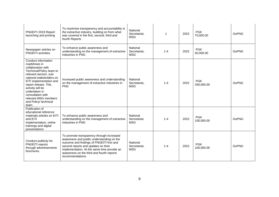| PNGEITI 2019 Report<br>launching and printing                                                                                                                                                                                                                                                                      | To maximise transparency and accountability in<br>the extractive industry, building on from what<br>was covered in the first, second, third and<br>fourth Reports                                                                                                                          | National<br>Secretariat.<br><b>MSG</b> |         | 2022 | <b>PGK</b><br>70,000.00  | GoPNG        |
|--------------------------------------------------------------------------------------------------------------------------------------------------------------------------------------------------------------------------------------------------------------------------------------------------------------------|--------------------------------------------------------------------------------------------------------------------------------------------------------------------------------------------------------------------------------------------------------------------------------------------|----------------------------------------|---------|------|--------------------------|--------------|
| Newspaper articles on<br><b>PNGEITI</b> activities.                                                                                                                                                                                                                                                                | To enhance public awareness and<br>understanding on the management of extractive<br>industries in PNG                                                                                                                                                                                      | National<br>Secretariat,<br><b>MSG</b> | $1 - 4$ | 2022 | <b>PGK</b><br>50,000.00  | GoPNG        |
| Conduct information<br>roadshows in<br>collaboration with<br>Technical/Policy team to<br>relevant sectors: sub-<br>national stakeholders on<br>EITI implementation and<br>report release. This<br>activity will be<br>undertaken in<br>consultation with<br>relevant MSG members<br>and Policy/ technical<br>team. | Increased public awareness and understanding<br>on the management of extractive industries in<br><b>PNG</b>                                                                                                                                                                                | National<br>Secretariat.<br><b>MSG</b> | $1 - 4$ | 2022 | <b>PGK</b><br>340,000.00 | <b>GoPNG</b> |
| Publication of<br>educational reference<br>materials articles on EITI<br>and EITI<br>implementation, online<br>trainings and digital<br>presentations                                                                                                                                                              | To enhance public awareness and<br>understanding on the management of extractive<br>industries in PNG                                                                                                                                                                                      | National<br>Secretariat,<br><b>MSG</b> | $1 - 4$ | 2022 | <b>PGK</b><br>100,000.00 | <b>GoPNG</b> |
| Conduct publicity for<br>PNGEITI reports<br>through advertisements<br>brochures.                                                                                                                                                                                                                                   | To promote transparency through increased<br>awareness and public understanding on the<br>outcome and findings of PNGEITI first and<br>second reports and updates on their<br>implementation. At the same time provide an<br>awareness on the third and fourth reports<br>recommendations. | National<br>Secretariat,<br><b>MSG</b> | $1 - 4$ | 2022 | <b>PGK</b><br>100,000.00 | <b>GoPNG</b> |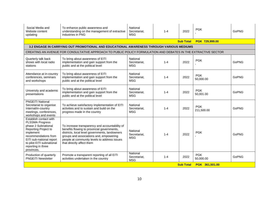| Social Media and<br>Website content<br>updating                                                                                                                                                                                   | To enhance public awareness and<br>understanding on the management of extractive<br>industries in PNG                                                                                                                                                                   | National<br>Secretariat,<br><b>MSG</b> | $1 - 4$ | 2022             | <b>PGK</b>               | GoPNG        |
|-----------------------------------------------------------------------------------------------------------------------------------------------------------------------------------------------------------------------------------|-------------------------------------------------------------------------------------------------------------------------------------------------------------------------------------------------------------------------------------------------------------------------|----------------------------------------|---------|------------------|--------------------------|--------------|
|                                                                                                                                                                                                                                   |                                                                                                                                                                                                                                                                         |                                        |         | <b>Sub Total</b> | PGK 729,999.00           |              |
|                                                                                                                                                                                                                                   | 3.2 ENGAGE IN CARRYING OUT PROMOTIONAL AND EDUCATIONAL AWARENESS THROUGH VARIOUS MEDIUMS                                                                                                                                                                                |                                        |         |                  |                          |              |
|                                                                                                                                                                                                                                   | CREATING AN AVENUE FOR CONSULTATIVE APPROACH TO PUBLIC POLICY FORMULATION AND DEBATES IN THE EXTRACTIVE SECTOR                                                                                                                                                          |                                        |         |                  |                          |              |
| Quarterly talk back<br>shows with local radio<br>stations                                                                                                                                                                         | To bring about awareness of EITI<br>implementation and gain support from the<br>public and at the political level                                                                                                                                                       | National<br>Secretariat,<br><b>MSG</b> | $1 - 4$ | 2022             | <b>PGK</b>               | GoPNG        |
| Attendance at in-country<br>conferences, seminars<br>and workshops                                                                                                                                                                | To bring about awareness of EITI<br>implementation and gain support from the<br>public and at the political level                                                                                                                                                       | National<br>Secretariat,<br><b>MSG</b> | $1 - 4$ | 2022             | <b>PGK</b><br>50,000.00  | GoPNG        |
| University and academic<br>presentations                                                                                                                                                                                          | To bring about awareness of EITI<br>implementation and gain support from the<br>public and at the political level                                                                                                                                                       | National<br>Secretariat,<br><b>MSG</b> | $1 - 4$ | 2022             | <b>PGK</b><br>50,001.00  | <b>GoPNG</b> |
| <b>PNGEITI National</b><br>Secretariat to organise<br>Internal/in-country<br>meetings, conferences,<br>workshops and events                                                                                                       | To achieve satisfactory implementation of EITI<br>activities and to sustain and build on the<br>progress made in the country                                                                                                                                            | National<br>Secretariat,<br><b>MSG</b> | $1 - 4$ | 2022             | <b>PGK</b><br>211,500.00 | <b>GoPNG</b> |
| Establish contact with<br><b>PLSSMA Progress</b><br>phase 2 Subnational<br>Reporting Project to<br>implement<br>recommendations from<br>EITI sub-national report<br>to pilot EITI subnational<br>reporting in three<br>provinces. | To increase transparency and accountability of<br>benefits flowing to provincial governments,<br>districts, local level governments, landowners<br>groups and associations and, empowering<br>people at community levels to address issues<br>that directly affect them | National<br>Secretariat,<br><b>MSG</b> | $1 - 4$ | 2022             | <b>PGK</b>               | <b>GoPNG</b> |
| Production of quarterly<br><b>PNGEITI Newsletter</b>                                                                                                                                                                              | Promote a transparent reporting of all EITI<br>activities undertaken in the country                                                                                                                                                                                     | National<br>Secretariat,<br><b>MSG</b> | $1 - 4$ | 2022             | <b>PGK</b><br>50,000.00  | <b>GoPNG</b> |
|                                                                                                                                                                                                                                   |                                                                                                                                                                                                                                                                         |                                        |         | <b>Sub Total</b> | PGK 361,501.00           |              |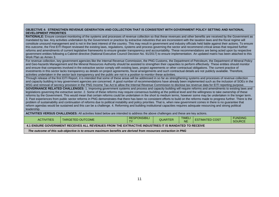# <span id="page-10-0"></span>**OBJECTIVE 4: STRENGTHEN REVENUE GENERATION AND COLLECTION THAT IS CONSISTENT WITH GOVERNMENT POLICY SETTING AND NATIONAL DEVELOPMENT PRIORITIES**

**RATIONALE:** Ensure constant monitoring of the systems and processes of revenue collection so that these revenues and other benefits are received by the Government as mandated by law. Any activities undertaken by the Government or practice by extractive industries that are inconsistent with the taxation laws and the fiscal regime will constitute unsound management and is not in the best interest of the country. This may result in government and industry officials held liable against their actions. To ensure this outcome, the First EITI Report reviewed the existing laws, regulations, systems and process governing the sector and recommend critical areas that required further reforms and amendments of current legislative frameworks to ensure greater transparency and accountability. These recommendations are being acted upon by respective government entities following a Cabinet directive (National Executive Council Decision No. 91/2017) to ensure implementation. An updated matrix has been attached to this Work Plan as Annex 3.

For revenue collection, key government agencies like the Internal Revenue Commission, the PNG Customs, the Department of Petroleum, the Department of Mineral Policy and Geo-hazards Management and the Mineral Resources Authority should be assisted to strengthen their capacities to perform effectively. These entities should monitor and ensure that companies involved in the extractive sector comply with existing laws, project agreements or other contractual obligations. The current practice of investments in this sector lacks transparency as details on project agreements, fiscal arrangements and such contractual details are not publicly available. Therefore, activities undertaken in the sector lack transparency and the public are not in a position to monitor these activities.

Through release of the first EITI Report, it is intended that some of these areas will be addressed in so far as strengthening systems and processes of revenue collection and capacity building in key government agencies are concerned. A good number of recommendations have already been implemented such as the inclusion of SOEs in the MSG and removal of secrecy provision in the PNG Income Tax Act to allow the Internal Revenue Commission to disclose tax revenue data for EITI reporting purpose.

**GOVERNANCE RELATED CHALLENGES:** 1. Improving government systems and process and capacity building will require reforms and amendments to existing laws and legislations governing the extractive sector. 2. Some of these reforms may require consensus building at the political level and the willingness to take ownership of these reforms by the Government. This would mean that certain reforms could be undertaken in the short to medium terms, however some may be undertaken in the longer term. 3. Past experiences from public sector reforms in PNG demonstrates that there has been no consistent efforts to build on the reforms made to progress further. There is the problem of sustainability and continuation of reforms due to political instability and policy priorities. That is, when new government comes in there is no guarantee that reform agendas would be sustained and this can be a challenge. 4. Reforming and building institutional capacities requires adequate resourcing and strong political leadership.

**ACTIVITIES VERSUS CHALLENGES:** All activities listed below are intended to address the above challenges and these are key actions.

| <b>ACTIVITIES</b>                                                                                    | TARGETED OUTCOME                                                                                             | <b>RESPONSIBILI</b><br>᠇៴ | <b>QUARTER</b> | <b>TIMEL</b><br><b>NE</b> | <b>ESTIMATED COST</b> | <b>FUNDING</b><br><b>SOURCE</b> |  |
|------------------------------------------------------------------------------------------------------|--------------------------------------------------------------------------------------------------------------|---------------------------|----------------|---------------------------|-----------------------|---------------------------------|--|
| 4.1 ENSURE GOVERNMENT RECEIVES ALL REVENUES FROM THE EXTRACTIVE INDUSTRIES IT IS MANDATED TO RECEIVE |                                                                                                              |                           |                |                           |                       |                                 |  |
|                                                                                                      | The outcome of this sub-objective is to ensure maximum benefits are derived from resources extraction in PNG |                           |                |                           |                       |                                 |  |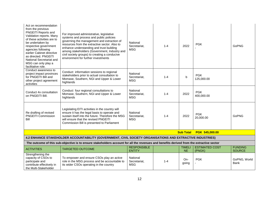| Act on recommendation<br>from the previous<br>PNGEITI Reports and<br>Validation reports. Many<br>of these activities are to<br>be undertaken by<br>respective government<br>agencies following<br>earlier Cabinet directive<br>as directed. PNGEITI<br>National Secretariat and<br>MSG can only play a<br>facilitative role. | For improved administrative, legislative<br>systems and process and public policies<br>governing the management and extraction of<br>resources from the extractive sector. Also to<br>enhance understanding and trust building<br>among stakeholders (Government, Industry and<br>civil society groups) to creating a conducive<br>environment for further investments | National<br>Secretariat,<br><b>MSG</b> | $1 - 4$ | 2022                       | <b>PGK</b>                      | GoPNG                           |  |  |
|------------------------------------------------------------------------------------------------------------------------------------------------------------------------------------------------------------------------------------------------------------------------------------------------------------------------------|------------------------------------------------------------------------------------------------------------------------------------------------------------------------------------------------------------------------------------------------------------------------------------------------------------------------------------------------------------------------|----------------------------------------|---------|----------------------------|---------------------------------|---------------------------------|--|--|
| Conduct awareness to<br>project impact provinces<br>for PNGEITI Bill and<br>other project agreement<br>activities                                                                                                                                                                                                            | Conduct information sessions to regional<br>stakeholders prior to actual consultation to<br>Momase, Southern, NGI and Upper & Lower<br>highlands                                                                                                                                                                                                                       | National<br>Secretariat,<br><b>MSG</b> | $1 - 4$ | b                          | <b>PGK</b><br>125,000.00        |                                 |  |  |
| Conduct 4x consultation<br>on PNGEITI Bill.                                                                                                                                                                                                                                                                                  | Conduct four regional consultations to<br>Momase, Southern, NGI and Upper & Lower<br>highlands                                                                                                                                                                                                                                                                         | National<br>Secretariat,<br><b>MSG</b> | $1 - 4$ | 2022                       | <b>PGK</b><br>400,000.00        |                                 |  |  |
| Re drafting of revised<br><b>PNGEITI Commission</b><br>Bill                                                                                                                                                                                                                                                                  | Legislating EITI activities in the country will<br>ensure it has the legal basis to operate and<br>sustain itself into the future. Therefore the MSG<br>will ensure that the revised PNGEITI<br>Commission Bill is presented to Parliament                                                                                                                             | National<br>Secretariat,<br><b>MSG</b> | $1 - 4$ | 2022                       | <b>PGK</b><br>20,000.00         | <b>GoPNG</b>                    |  |  |
| <b>Sub Total</b><br>PGK 545,000.00                                                                                                                                                                                                                                                                                           |                                                                                                                                                                                                                                                                                                                                                                        |                                        |         |                            |                                 |                                 |  |  |
|                                                                                                                                                                                                                                                                                                                              | 4.2 ENHANCE STAKEHOLDER ACCOUNTABILITY (GOVERNMENT, CIVIL SOCIETY ORGANISATIONS AND EXTRACTIVE INDUSTRIES)                                                                                                                                                                                                                                                             |                                        |         |                            |                                 |                                 |  |  |
| The outcome of this sub-objective is to ensure stakeholders account for all the revenues and benefits derived from the extractive sector                                                                                                                                                                                     |                                                                                                                                                                                                                                                                                                                                                                        |                                        |         |                            |                                 |                                 |  |  |
| <b>ACTIVITIES</b>                                                                                                                                                                                                                                                                                                            | <b>TARGETED OUTCOME</b>                                                                                                                                                                                                                                                                                                                                                | <b>RESPONSIBLE</b><br><b>ENTITY</b>    |         | <b>TIMELI</b><br><b>NE</b> | <b>ESTIMATED COST</b><br>(PNGK) | <b>FUNDING</b><br><b>SOURCE</b> |  |  |
| Strengthening the<br>capacity of CSOs to<br>participate and<br>contribute effectively in<br>the Multi-Stakeholder                                                                                                                                                                                                            | To empower and ensure CSOs play an active<br>role in the MSG process and be accountable to<br>its wider CSOs operating in the country                                                                                                                                                                                                                                  | National<br>Secretariat,<br><b>MSG</b> | $1 - 4$ | On-<br>going               | <b>PGK</b>                      | GoPNG, World<br><b>Bank</b>     |  |  |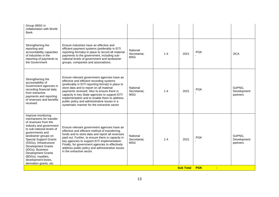| Group (MSG in<br>collaboration with World<br>Bank.                                                                                                                                                                                                                                                                                                                                      |                                                                                                                                                                                                                                                                                                                                                                                                                                          |                                        |         |                  |            |                                   |
|-----------------------------------------------------------------------------------------------------------------------------------------------------------------------------------------------------------------------------------------------------------------------------------------------------------------------------------------------------------------------------------------|------------------------------------------------------------------------------------------------------------------------------------------------------------------------------------------------------------------------------------------------------------------------------------------------------------------------------------------------------------------------------------------------------------------------------------------|----------------------------------------|---------|------------------|------------|-----------------------------------|
| Strengthening the<br>reporting and<br>accountability capacities<br>of industries in the<br>reporting of payments to<br>the Government                                                                                                                                                                                                                                                   | Ensure industries have an effective and<br>efficient payment systems (preferably in EITI<br>reporting formats) in place to record all material<br>payments to the government, including sub-<br>national levels of government and landowner<br>groups, companies and associations.                                                                                                                                                       | National<br>Secretariat.<br><b>MSG</b> | $1 - 4$ | 2021             | <b>PGK</b> | <b>JICA</b>                       |
| Strengthening the<br>accountability of<br>Government agencies in<br>recording financial data<br>from extractive<br>payments and reporting<br>of revenues and benefits<br>received                                                                                                                                                                                                       | Ensure relevant government agencies have an<br>effective and efficient recording systems<br>(preferably in EITI reporting format) in place to<br>store data and to report on all material<br>payments received. Also to ensure there is<br>capacity in key State agencies to support EITI<br>implementation and to enable them to address<br>public policy and administrative issues in a<br>systematic manner for the extractive sector | National<br>Secretariat,<br><b>MSG</b> | $1 - 4$ | 2021             | <b>PGK</b> | GoPNG,<br>Development<br>partners |
| Improve monitoring<br>mechanisms for transfer<br>of revenues from the<br>industry and government<br>to sub-national levels of<br>governments and<br>landowner groups on<br><b>Special Support Grants</b><br>(SSGs), Infrastructure<br><b>Development Grants</b><br>(IDGs), Business<br><b>Development Grants</b><br>(BDGs), royalties,<br>development levies,<br>derivation grants, etc | Ensure relevant government agencies have an<br>effective and efficient method of transferring<br>funds and to store data and report all revenues<br>paid out. Further, to ensure there is capacity in<br>key agencies to support EITI implementation.<br>Finally, for government agencies to effectively<br>address public policy and administrative issues<br>in the extractive sector.                                                 | National<br>Secretariat,<br><b>MSG</b> | $1 - 4$ | 2021             | <b>PGK</b> | GoPNG,<br>Development<br>partners |
|                                                                                                                                                                                                                                                                                                                                                                                         |                                                                                                                                                                                                                                                                                                                                                                                                                                          |                                        |         | <b>Sub Total</b> | <b>PGK</b> |                                   |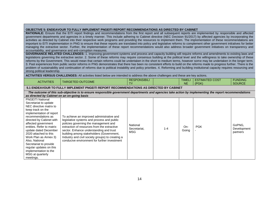#### <span id="page-13-0"></span>**OBJECTIVE 5: ENDEAVOUR TO FULLY IMPLEMENT PNGEITI REPORT RECOMMENDATIONS AS DIRECTED BY CABINET**

**RATIONALE:** Ensure that the EITI report findings and recommendations from the first report and all subsequent reports are implemented by responsible and affected government departments and agencies in a timely manner. This include adhering to Cabinet directive (NEC Decision 91/2017) by affected agencies by incorporating the activities as directed by Cabinet into their respective work programs and providing the resources to implement them. The implementation of these recommendations are important to EITI implementation in PNG to ensure that these reports are translated into policy and legislative reforms to complement other government initiatives for better managing the extractive sector. Further, the implementation of these report recommendations would also address broader government initiatives on transparency and accountability, and governance and anti-corruption measures.

**GOVERNANCE RELATED CHALLENGES:** 1. Improving government systems and process and capacity building will require reforms and amendments to existing laws and legislations governing the extractive sector. 2. Some of these reforms may require consensus building at the political level and the willingness to take ownership of these reforms by the Government. This would mean that certain reforms could be undertaken in the short to medium terms, however some may be undertaken in the longer term. 3. Past experiences from public sector reforms in PNG demonstrates that there has been no consistent efforts to build on the reforms made to progress further. There is the problem of sustainability and continuation of reforms due to political instability and policy priorities. 4. Reforming and building institutional capacity requires resourcing and strong political leadership.

**ACTIVITIES VERSUS CHALLENGES:** All activities listed below are intended to address the above challenges and these are key actions.

| <b>ESTIMATED COST</b><br><b>FUNDING</b><br><b>RESPONSIBILI</b><br><b>TIMEL</b><br><b>ACTIVITIES</b><br>TARGETED OUTCOME<br>$\mathbf{T}$<br><b>NE</b><br>(PGK)<br><b>SOURCE</b> |  |
|--------------------------------------------------------------------------------------------------------------------------------------------------------------------------------|--|
|--------------------------------------------------------------------------------------------------------------------------------------------------------------------------------|--|

## **5.1 ENDEAVOUR TO FULLY IMPLEMENT PNGEITI REPORT RECOMMENDATIONS AS DIRECTED BY CABINET**

| The outcome of this sub-objective is to ensure responsible government departments and agencies take action by implementing the report recommendations<br>as directed by Cabinet on an on-going basis                                                                                                                                                                                                                                           |                                                                                                                                                                                                                                                                                                                                                                            |                                 |         |              |            |                                   |  |  |
|------------------------------------------------------------------------------------------------------------------------------------------------------------------------------------------------------------------------------------------------------------------------------------------------------------------------------------------------------------------------------------------------------------------------------------------------|----------------------------------------------------------------------------------------------------------------------------------------------------------------------------------------------------------------------------------------------------------------------------------------------------------------------------------------------------------------------------|---------------------------------|---------|--------------|------------|-----------------------------------|--|--|
| <b>PNGEITI National</b><br>Secretariat to update<br>NEC directive matrix to<br>keep track on the<br>implementation of report<br>recommendations as<br>directed by Cabinet with<br>affected government<br>entities. Refer to matrix<br>update dated December<br>2020 attached to this<br>Work Plan as Annex 3)<br>Also, National<br>Secretariat to provide<br>regular updates on this<br>implementation to the<br>MSG at quarterly<br>meetings. | To achieve an improved administrative and<br>legislative systems and process and public<br>policies governing the management and<br>extraction of resources from the extractive<br>sector. Enhance understanding and trust<br>building among stakeholders (Government,<br>Industry and civil society groups) to creating a<br>conducive environment for further investment | National<br>Secretariat.<br>MSG | $1 - 4$ | On-<br>Going | <b>PGK</b> | GoPNG.<br>Development<br>partners |  |  |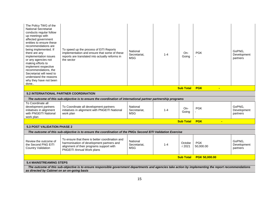| The Policy TWG of the<br>National Secretariat<br>conducts regular follow<br>up meetings with<br>affected government<br>entities to ensure these<br>recommendations are<br>being implemented. If<br>there are any<br>implementation issues<br>or any agencies not<br>making efforts to<br>implement respective<br>recommendations, the<br>Secretariat will need to<br>understand the reasons<br>why they have not been<br>done | To speed up the process of EITI Reports<br>implementation and ensure that some of these<br>reports are translated into actually reforms in<br>the sector              | National<br>Secretariat,<br><b>MSG</b> | $1 - 4$ | On-<br>Going     | <b>PGK</b>              | GoPNG,<br>Development<br>partners |  |
|-------------------------------------------------------------------------------------------------------------------------------------------------------------------------------------------------------------------------------------------------------------------------------------------------------------------------------------------------------------------------------------------------------------------------------|-----------------------------------------------------------------------------------------------------------------------------------------------------------------------|----------------------------------------|---------|------------------|-------------------------|-----------------------------------|--|
| <b>Sub Total</b><br><b>PGK</b><br>$\blacksquare$                                                                                                                                                                                                                                                                                                                                                                              |                                                                                                                                                                       |                                        |         |                  |                         |                                   |  |
|                                                                                                                                                                                                                                                                                                                                                                                                                               | <b>5.2 INTERNATIONAL PARTNER COORDINATION</b>                                                                                                                         |                                        |         |                  |                         |                                   |  |
|                                                                                                                                                                                                                                                                                                                                                                                                                               | The outcome of this sub-objective is to ensure the coordination of international partner partnership programs                                                         |                                        |         |                  |                         |                                   |  |
| To Coordinate all<br>development partners<br>initiatives in alignment<br>with PNGEITI National<br>work plan                                                                                                                                                                                                                                                                                                                   | To Coordinate all development partners<br>initiatives in alignment with PNGEITI National<br>work plan                                                                 | National<br>Secretariat,<br><b>MSG</b> | $1 - 4$ | On-<br>Going     | <b>PGK</b>              | GoPNG,<br>Development<br>partners |  |
|                                                                                                                                                                                                                                                                                                                                                                                                                               |                                                                                                                                                                       |                                        |         | <b>Sub Total</b> | <b>PGK</b>              |                                   |  |
| <b>5.3 POST VALIDATION PHASE 2</b>                                                                                                                                                                                                                                                                                                                                                                                            |                                                                                                                                                                       |                                        |         |                  |                         |                                   |  |
|                                                                                                                                                                                                                                                                                                                                                                                                                               | The outcome of this sub-objective is to ensure the coordination of the PNGs Second EITI Validation Exercise                                                           |                                        |         |                  |                         |                                   |  |
| Review the outcome of<br>the Second PNG EITI<br><b>Country Validation</b>                                                                                                                                                                                                                                                                                                                                                     | To ensure that there is better coordination and<br>harmonisation of development partners and<br>alignment of their programs support with<br>PNGEITI Annual Work plans | National<br>Secretariat.<br><b>MSG</b> | $1 - 4$ | Octobe<br>r 2021 | <b>PGK</b><br>50,000.00 | GoPNG,<br>Development<br>partners |  |
|                                                                                                                                                                                                                                                                                                                                                                                                                               |                                                                                                                                                                       |                                        |         | <b>Sub Total</b> | PGK 50,000.00           |                                   |  |
|                                                                                                                                                                                                                                                                                                                                                                                                                               | <b>5.4 MAINSTREAMING STEPS</b>                                                                                                                                        |                                        |         |                  |                         |                                   |  |
| The outcome of this sub-objective is to ensure responsible government departments and agencies take action by implementing the report recommendations<br>as directed by Cabinet on an on-going basis                                                                                                                                                                                                                          |                                                                                                                                                                       |                                        |         |                  |                         |                                   |  |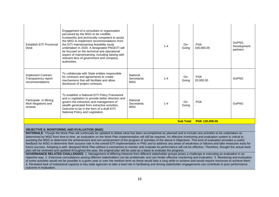| Establish EITI Provincial<br>Desk                                   | Engagement of a consultant or organization<br>perceived by the MSG to be credible,<br>trustworthy and technically competent to assist<br>the MSG to implement recommendations from<br>the EITI mainstreaming feasibility study<br>undertaken in 2020. A designated PNGEITI will<br>be focused on the technical and operational<br>aspect of mainstreaming, including liaising with<br>relevant tiers of government and company<br>authorities. |                                        | $1 - 4$ | $On-$<br>Going | <b>PGK</b><br>100,000.00 | GoPNG,<br>Development<br>partners |
|---------------------------------------------------------------------|------------------------------------------------------------------------------------------------------------------------------------------------------------------------------------------------------------------------------------------------------------------------------------------------------------------------------------------------------------------------------------------------------------------------------------------------|----------------------------------------|---------|----------------|--------------------------|-----------------------------------|
| <b>Implement Contract</b><br>Transparency report<br>recommendations | To collaborate with State entities responsible<br>for contracts and agreements to create<br>mechanisms that will facilitate and allow<br>disclosure of project contracts.                                                                                                                                                                                                                                                                      | National<br>Secretariat,<br><b>MSG</b> | $1 - 4$ | On-<br>Going   | <b>PGK</b><br>20,000.00  | <b>GoPNG</b>                      |
| Participate in Mining<br>MoA Negations and<br>reviews               | To establish a National EITI Policy Framework<br>and a Legislation to provide better direction and<br>govern the extraction and management of<br>wealth generated from extractive activities.<br>Outcome to be in the form of a draft EITI<br>National Policy and Legislation.                                                                                                                                                                 | National<br>Secretariat.<br><b>MSG</b> | $1 - 4$ | $On-$<br>Going | <b>PGK</b>               | <b>GoPNG</b>                      |
|                                                                     | <b>PGK 120,000.00</b>                                                                                                                                                                                                                                                                                                                                                                                                                          |                                        |         |                |                          |                                   |

#### <span id="page-15-0"></span>**OBJECTIVE 6: MONITORING AND EVALUATION (M&E)**

**RATIONALE**: Though the Work Plan will continually be updated to delete what has been accomplished as planned and to include new activities to be undertaken as determined by MSG from time to time, an evaluation on the Work Plan implementation will still be required. An effective monitoring and evaluation system is critical to assisting the MSG to determine the achievement and non-achievement of the program of activities of the above 6 Objectives. This kind of evaluation provides a useful feedback for MSG to determine their success rate in the overall EITI implementation in PNG and to address any areas of weakness or failures and take measures early for future success. Adopting a well- designed Work Plan without a mechanism to monitor and evaluate its performance will not be effective. Therefore, thought the actual work plan will be reviewed and updated throughout the year, the original plan will be used as a basis to evaluate the progress.

**GOVERNANCE RELATED CHALLENGES**: 1. Management of differing interests from different stakeholder groups poses a challenge in executing an evaluation in an objective way. 2. Extensive consultations among different stakeholders can be problematic and can hinder effective monitoring and evaluation. 3. Monitoring and evaluation of some activities would not be possible in a given year or over the medium term as these would take a long while to achieve and would require resources to achieve them. 4. Persistent lack of institutional capacity in key state agencies to take a lead role in facilitating and driving stakeholder engagements can contribute to poor performance outcome in evaluation.